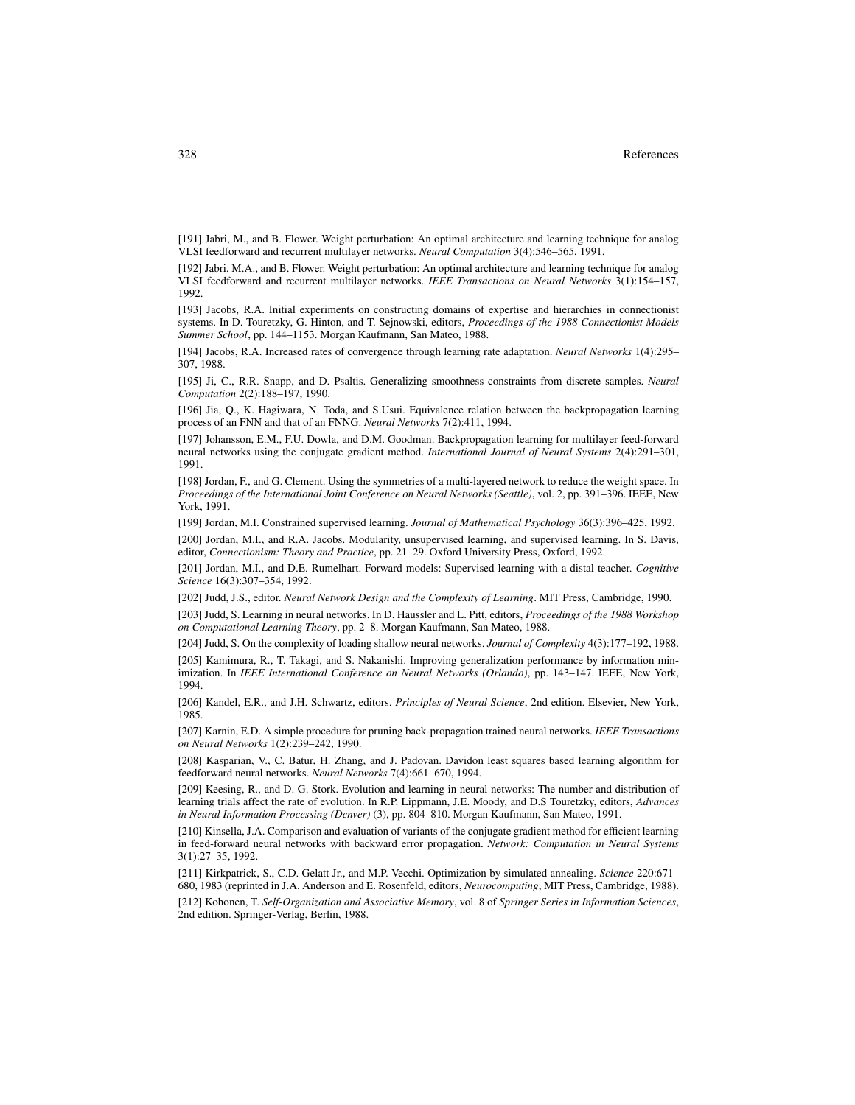[191] Jabri, M., and B. Flower. Weight perturbation: An optimal architecture and learning technique for analog VLSI feedforward and recurrent multilayer networks. *Neural Computation* 3(4):546–565, 1991.

[192] Jabri, M.A., and B. Flower. Weight perturbation: An optimal architecture and learning technique for analog VLSI feedforward and recurrent multilayer networks. *IEEE Transactions on Neural Networks* 3(1):154–157, 1992.

[193] Jacobs, R.A. Initial experiments on constructing domains of expertise and hierarchies in connectionist systems. In D. Touretzky, G. Hinton, and T. Sejnowski, editors, *Proceedings of the 1988 Connectionist Models Summer School*, pp. 144–1153. Morgan Kaufmann, San Mateo, 1988.

[194] Jacobs, R.A. Increased rates of convergence through learning rate adaptation. *Neural Networks* 1(4):295– 307, 1988.

[195] Ji, C., R.R. Snapp, and D. Psaltis. Generalizing smoothness constraints from discrete samples. *Neural Computation* 2(2):188–197, 1990.

[196] Jia, Q., K. Hagiwara, N. Toda, and S.Usui. Equivalence relation between the backpropagation learning process of an FNN and that of an FNNG. *Neural Networks* 7(2):411, 1994.

[197] Johansson, E.M., F.U. Dowla, and D.M. Goodman. Backpropagation learning for multilayer feed-forward neural networks using the conjugate gradient method. *International Journal of Neural Systems* 2(4):291–301, 1991.

[198] Jordan, F., and G. Clement. Using the symmetries of a multi-layered network to reduce the weight space. In *Proceedings of the International Joint Conference on Neural Networks (Seattle)*, vol. 2, pp. 391–396. IEEE, New York, 1991.

[199] Jordan, M.I. Constrained supervised learning. *Journal of Mathematical Psychology* 36(3):396–425, 1992.

[200] Jordan, M.I., and R.A. Jacobs. Modularity, unsupervised learning, and supervised learning. In S. Davis, editor, *Connectionism: Theory and Practice*, pp. 21–29. Oxford University Press, Oxford, 1992.

[201] Jordan, M.I., and D.E. Rumelhart. Forward models: Supervised learning with a distal teacher. *Cognitive Science* 16(3):307–354, 1992.

[202] Judd, J.S., editor. *Neural Network Design and the Complexity of Learning*. MIT Press, Cambridge, 1990.

[203] Judd, S. Learning in neural networks. In D. Haussler and L. Pitt, editors, *Proceedings of the 1988 Workshop on Computational Learning Theory*, pp. 2–8. Morgan Kaufmann, San Mateo, 1988.

[204] Judd, S. On the complexity of loading shallow neural networks. *Journal of Complexity* 4(3):177–192, 1988.

[205] Kamimura, R., T. Takagi, and S. Nakanishi. Improving generalization performance by information minimization. In *IEEE International Conference on Neural Networks (Orlando)*, pp. 143–147. IEEE, New York, 1994.

[206] Kandel, E.R., and J.H. Schwartz, editors. *Principles of Neural Science*, 2nd edition. Elsevier, New York, 1985.

[207] Karnin, E.D. A simple procedure for pruning back-propagation trained neural networks. *IEEE Transactions on Neural Networks* 1(2):239–242, 1990.

[208] Kasparian, V., C. Batur, H. Zhang, and J. Padovan. Davidon least squares based learning algorithm for feedforward neural networks. *Neural Networks* 7(4):661–670, 1994.

[209] Keesing, R., and D. G. Stork. Evolution and learning in neural networks: The number and distribution of learning trials affect the rate of evolution. In R.P. Lippmann, J.E. Moody, and D.S Touretzky, editors, *Advances in Neural Information Processing (Denver)* (3), pp. 804–810. Morgan Kaufmann, San Mateo, 1991.

[210] Kinsella, J.A. Comparison and evaluation of variants of the conjugate gradient method for efficient learning in feed-forward neural networks with backward error propagation. *Network: Computation in Neural Systems* 3(1):27–35, 1992.

[211] Kirkpatrick, S., C.D. Gelatt Jr., and M.P. Vecchi. Optimization by simulated annealing. *Science* 220:671– 680, 1983 (reprinted in J.A. Anderson and E. Rosenfeld, editors, *Neurocomputing*, MIT Press, Cambridge, 1988).

[212] Kohonen, T. *Self-Organization and Associative Memory*, vol. 8 of *Springer Series in Information Sciences*, 2nd edition. Springer-Verlag, Berlin, 1988.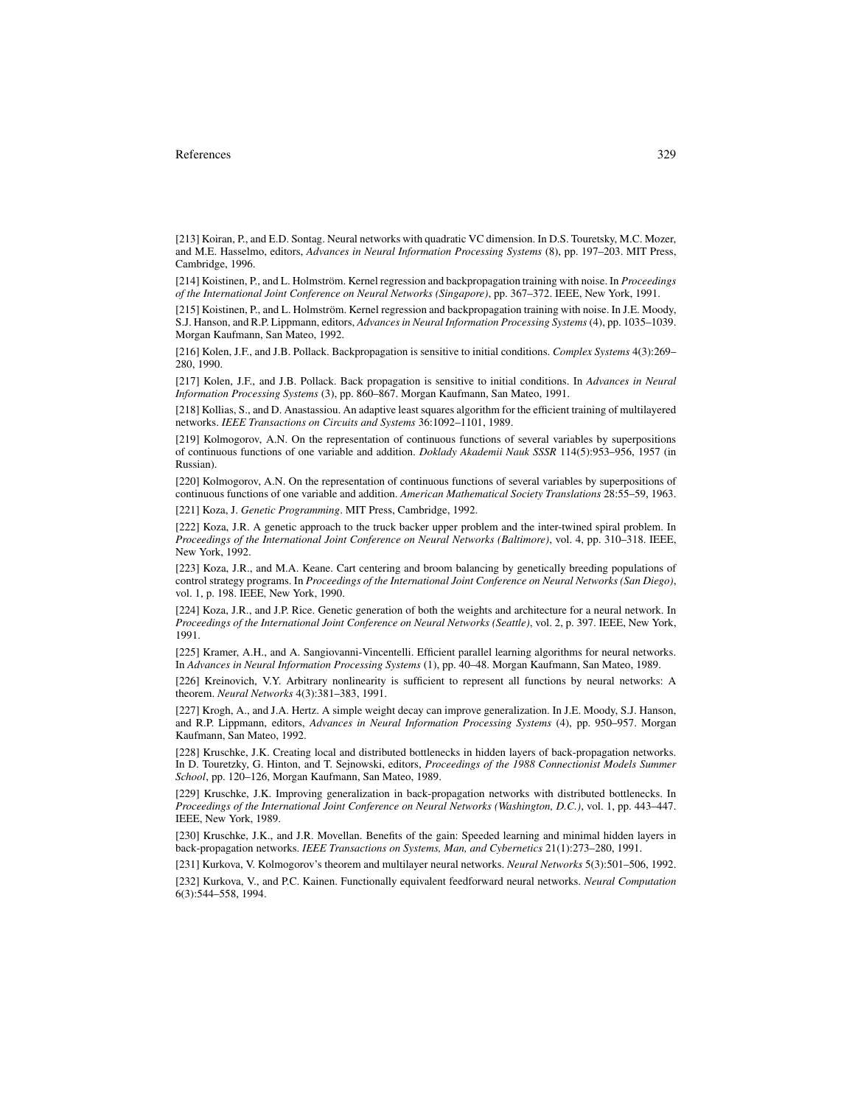[213] Koiran, P., and E.D. Sontag. Neural networks with quadratic VC dimension. In D.S. Touretsky, M.C. Mozer, and M.E. Hasselmo, editors, *Advances in Neural Information Processing Systems* (8), pp. 197–203. MIT Press, Cambridge, 1996.

[214] Koistinen, P., and L. Holmström. Kernel regression and backpropagation training with noise. In *Proceedings of the International Joint Conference on Neural Networks (Singapore)*, pp. 367–372. IEEE, New York, 1991.

[215] Koistinen, P., and L. Holmström. Kernel regression and backpropagation training with noise. In J.E. Moody, S.J. Hanson, and R.P. Lippmann, editors, *Advances in Neural Information Processing Systems* (4), pp. 1035–1039. Morgan Kaufmann, San Mateo, 1992.

[216] Kolen, J.F., and J.B. Pollack. Backpropagation is sensitive to initial conditions. *Complex Systems* 4(3):269– 280, 1990.

[217] Kolen, J.F., and J.B. Pollack. Back propagation is sensitive to initial conditions. In *Advances in Neural Information Processing Systems* (3), pp. 860–867. Morgan Kaufmann, San Mateo, 1991.

[218] Kollias, S., and D. Anastassiou. An adaptive least squares algorithm for the efficient training of multilayered networks. *IEEE Transactions on Circuits and Systems* 36:1092–1101, 1989.

[219] Kolmogorov, A.N. On the representation of continuous functions of several variables by superpositions of continuous functions of one variable and addition. *Doklady Akademii Nauk SSSR* 114(5):953–956, 1957 (in Russian).

[220] Kolmogorov, A.N. On the representation of continuous functions of several variables by superpositions of continuous functions of one variable and addition. *American Mathematical Society Translations* 28:55–59, 1963.

[221] Koza, J. *Genetic Programming*. MIT Press, Cambridge, 1992.

[222] Koza, J.R. A genetic approach to the truck backer upper problem and the inter-twined spiral problem. In *Proceedings of the International Joint Conference on Neural Networks (Baltimore)*, vol. 4, pp. 310–318. IEEE, New York, 1992.

[223] Koza, J.R., and M.A. Keane. Cart centering and broom balancing by genetically breeding populations of control strategy programs. In *Proceedings of the International Joint Conference on Neural Networks (San Diego)*, vol. 1, p. 198. IEEE, New York, 1990.

[224] Koza, J.R., and J.P. Rice. Genetic generation of both the weights and architecture for a neural network. In *Proceedings of the International Joint Conference on Neural Networks (Seattle)*, vol. 2, p. 397. IEEE, New York, 1991.

[225] Kramer, A.H., and A. Sangiovanni-Vincentelli. Efficient parallel learning algorithms for neural networks. In *Advances in Neural Information Processing Systems* (1), pp. 40–48. Morgan Kaufmann, San Mateo, 1989.

[226] Kreinovich, V.Y. Arbitrary nonlinearity is sufficient to represent all functions by neural networks: A theorem. *Neural Networks* 4(3):381–383, 1991.

[227] Krogh, A., and J.A. Hertz. A simple weight decay can improve generalization. In J.E. Moody, S.J. Hanson, and R.P. Lippmann, editors, *Advances in Neural Information Processing Systems* (4), pp. 950–957. Morgan Kaufmann, San Mateo, 1992.

[228] Kruschke, J.K. Creating local and distributed bottlenecks in hidden layers of back-propagation networks. In D. Touretzky, G. Hinton, and T. Sejnowski, editors, *Proceedings of the 1988 Connectionist Models Summer School*, pp. 120–126, Morgan Kaufmann, San Mateo, 1989.

[229] Kruschke, J.K. Improving generalization in back-propagation networks with distributed bottlenecks. In *Proceedings of the International Joint Conference on Neural Networks (Washington, D.C.)*, vol. 1, pp. 443–447. IEEE, New York, 1989.

[230] Kruschke, J.K., and J.R. Movellan. Benefits of the gain: Speeded learning and minimal hidden layers in back-propagation networks. *IEEE Transactions on Systems, Man, and Cybernetics* 21(1):273–280, 1991.

[231] Kurkova, V. Kolmogorov's theorem and multilayer neural networks. *Neural Networks* 5(3):501–506, 1992.

[232] Kurkova, V., and P.C. Kainen. Functionally equivalent feedforward neural networks. *Neural Computation* 6(3):544–558, 1994.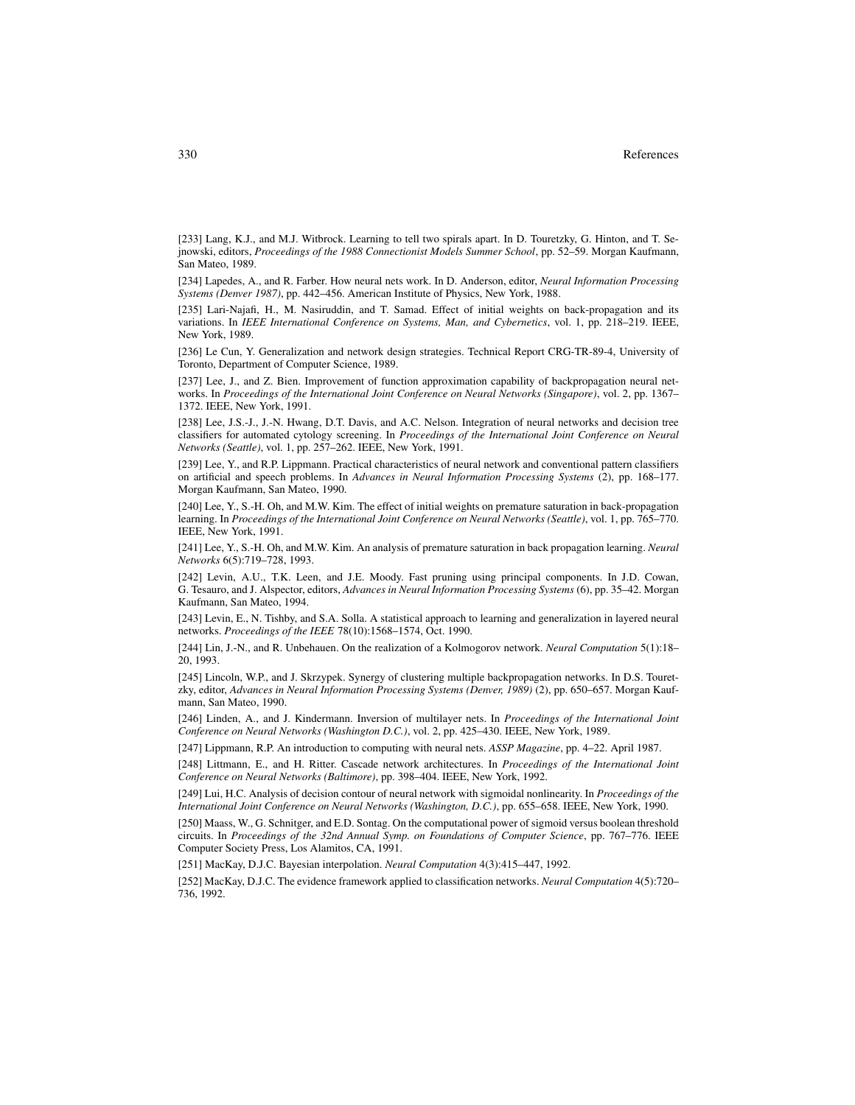[233] Lang, K.J., and M.J. Witbrock. Learning to tell two spirals apart. In D. Touretzky, G. Hinton, and T. Sejnowski, editors, *Proceedings of the 1988 Connectionist Models Summer School*, pp. 52–59. Morgan Kaufmann, San Mateo, 1989.

[234] Lapedes, A., and R. Farber. How neural nets work. In D. Anderson, editor, *Neural Information Processing Systems (Denver 1987)*, pp. 442–456. American Institute of Physics, New York, 1988.

[235] Lari-Najafi, H., M. Nasiruddin, and T. Samad. Effect of initial weights on back-propagation and its variations. In *IEEE International Conference on Systems, Man, and Cybernetics*, vol. 1, pp. 218–219. IEEE, New York, 1989.

[236] Le Cun, Y. Generalization and network design strategies. Technical Report CRG-TR-89-4, University of Toronto, Department of Computer Science, 1989.

[237] Lee, J., and Z. Bien. Improvement of function approximation capability of backpropagation neural networks. In *Proceedings of the International Joint Conference on Neural Networks (Singapore)*, vol. 2, pp. 1367– 1372. IEEE, New York, 1991.

[238] Lee, J.S.-J., J.-N. Hwang, D.T. Davis, and A.C. Nelson. Integration of neural networks and decision tree classifiers for automated cytology screening. In *Proceedings of the International Joint Conference on Neural Networks (Seattle)*, vol. 1, pp. 257–262. IEEE, New York, 1991.

[239] Lee, Y., and R.P. Lippmann. Practical characteristics of neural network and conventional pattern classifiers on artificial and speech problems. In *Advances in Neural Information Processing Systems* (2), pp. 168–177. Morgan Kaufmann, San Mateo, 1990.

[240] Lee, Y., S.-H. Oh, and M.W. Kim. The effect of initial weights on premature saturation in back-propagation learning. In *Proceedings of the International Joint Conference on Neural Networks (Seattle)*, vol. 1, pp. 765–770. IEEE, New York, 1991.

[241] Lee, Y., S.-H. Oh, and M.W. Kim. An analysis of premature saturation in back propagation learning. *Neural Networks* 6(5):719–728, 1993.

[242] Levin, A.U., T.K. Leen, and J.E. Moody. Fast pruning using principal components. In J.D. Cowan, G. Tesauro, and J. Alspector, editors, *Advances in Neural Information Processing Systems* (6), pp. 35–42. Morgan Kaufmann, San Mateo, 1994.

[243] Levin, E., N. Tishby, and S.A. Solla. A statistical approach to learning and generalization in layered neural networks. *Proceedings of the IEEE* 78(10):1568–1574, Oct. 1990.

[244] Lin, J.-N., and R. Unbehauen. On the realization of a Kolmogorov network. *Neural Computation* 5(1):18– 20, 1993.

[245] Lincoln, W.P., and J. Skrzypek. Synergy of clustering multiple backpropagation networks. In D.S. Touretzky, editor, *Advances in Neural Information Processing Systems (Denver, 1989)* (2), pp. 650–657. Morgan Kaufmann, San Mateo, 1990.

[246] Linden, A., and J. Kindermann. Inversion of multilayer nets. In *Proceedings of the International Joint Conference on Neural Networks (Washington D.C.)*, vol. 2, pp. 425–430. IEEE, New York, 1989.

[247] Lippmann, R.P. An introduction to computing with neural nets. *ASSP Magazine*, pp. 4–22. April 1987.

[248] Littmann, E., and H. Ritter. Cascade network architectures. In *Proceedings of the International Joint Conference on Neural Networks (Baltimore)*, pp. 398–404. IEEE, New York, 1992.

[249] Lui, H.C. Analysis of decision contour of neural network with sigmoidal nonlinearity. In *Proceedings of the International Joint Conference on Neural Networks (Washington, D.C.)*, pp. 655–658. IEEE, New York, 1990.

[250] Maass, W., G. Schnitger, and E.D. Sontag. On the computational power of sigmoid versus boolean threshold circuits. In *Proceedings of the 32nd Annual Symp. on Foundations of Computer Science*, pp. 767–776. IEEE Computer Society Press, Los Alamitos, CA, 1991.

[251] MacKay, D.J.C. Bayesian interpolation. *Neural Computation* 4(3):415–447, 1992.

[252] MacKay, D.J.C. The evidence framework applied to classification networks. *Neural Computation* 4(5):720– 736, 1992.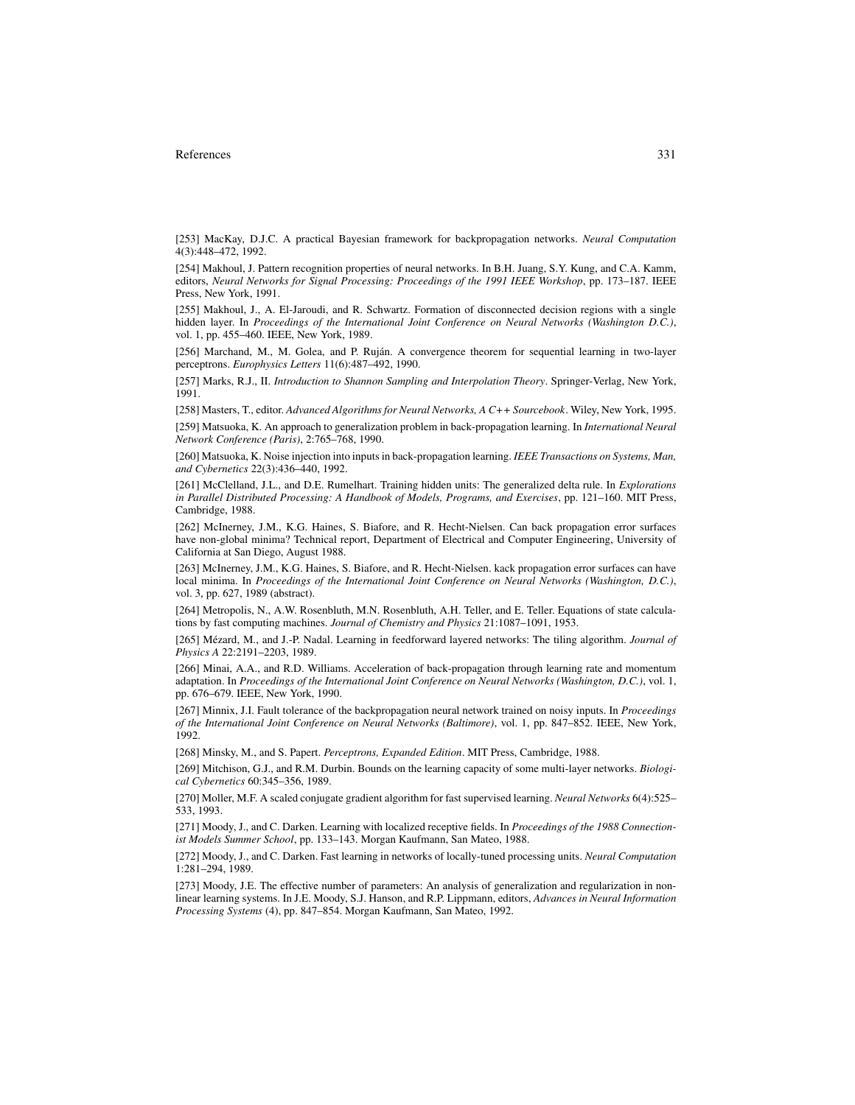[253] MacKay, D.J.C. A practical Bayesian framework for backpropagation networks. *Neural Computation* 4(3):448–472, 1992.

[254] Makhoul, J. Pattern recognition properties of neural networks. In B.H. Juang, S.Y. Kung, and C.A. Kamm, editors, *Neural Networks for Signal Processing: Proceedings of the 1991 IEEE Workshop*, pp. 173–187. IEEE Press, New York, 1991.

[255] Makhoul, J., A. El-Jaroudi, and R. Schwartz. Formation of disconnected decision regions with a single hidden layer. In *Proceedings of the International Joint Conference on Neural Networks (Washington D.C.)*, vol. 1, pp. 455–460. IEEE, New York, 1989.

[256] Marchand, M., M. Golea, and P. Ruján. A convergence theorem for sequential learning in two-layer perceptrons. *Europhysics Letters* 11(6):487–492, 1990.

[257] Marks, R.J., II. *Introduction to Shannon Sampling and Interpolation Theory*. Springer-Verlag, New York, 1991.

[258] Masters, T., editor. *Advanced Algorithms for Neural Networks, A C++ Sourcebook*. Wiley, New York, 1995. [259] Matsuoka, K. An approach to generalization problem in back-propagation learning. In *International Neural Network Conference (Paris)*, 2:765–768, 1990.

[260] Matsuoka, K. Noise injection into inputs in back-propagation learning. *IEEE Transactions on Systems, Man, and Cybernetics* 22(3):436–440, 1992.

[261] McClelland, J.L., and D.E. Rumelhart. Training hidden units: The generalized delta rule. In *Explorations in Parallel Distributed Processing: A Handbook of Models, Programs, and Exercises*, pp. 121–160. MIT Press, Cambridge, 1988.

[262] McInerney, J.M., K.G. Haines, S. Biafore, and R. Hecht-Nielsen. Can back propagation error surfaces have non-global minima? Technical report, Department of Electrical and Computer Engineering, University of California at San Diego, August 1988.

[263] McInerney, J.M., K.G. Haines, S. Biafore, and R. Hecht-Nielsen. kack propagation error surfaces can have local minima. In *Proceedings of the International Joint Conference on Neural Networks (Washington, D.C.)*, vol. 3, pp. 627, 1989 (abstract).

[264] Metropolis, N., A.W. Rosenbluth, M.N. Rosenbluth, A.H. Teller, and E. Teller. Equations of state calculations by fast computing machines. *Journal of Chemistry and Physics* 21:1087–1091, 1953.

[265] Mézard, M., and J.-P. Nadal. Learning in feedforward layered networks: The tiling algorithm. *Journal of Physics A* 22:2191–2203, 1989.

[266] Minai, A.A., and R.D. Williams. Acceleration of back-propagation through learning rate and momentum adaptation. In *Proceedings of the International Joint Conference on Neural Networks (Washington, D.C.)*, vol. 1, pp. 676–679. IEEE, New York, 1990.

[267] Minnix, J.I. Fault tolerance of the backpropagation neural network trained on noisy inputs. In *Proceedings of the International Joint Conference on Neural Networks (Baltimore)*, vol. 1, pp. 847–852. IEEE, New York, 1992.

[268] Minsky, M., and S. Papert. *Perceptrons, Expanded Edition*. MIT Press, Cambridge, 1988.

[269] Mitchison, G.J., and R.M. Durbin. Bounds on the learning capacity of some multi-layer networks. *Biological Cybernetics* 60:345–356, 1989.

[270] Moller, M.F. A scaled conjugate gradient algorithm for fast supervised learning. *Neural Networks* 6(4):525– 533, 1993.

[271] Moody, J., and C. Darken. Learning with localized receptive fields. In *Proceedings of the 1988 Connectionist Models Summer School*, pp. 133–143. Morgan Kaufmann, San Mateo, 1988.

[272] Moody, J., and C. Darken. Fast learning in networks of locally-tuned processing units. *Neural Computation* 1:281–294, 1989.

[273] Moody, J.E. The effective number of parameters: An analysis of generalization and regularization in nonlinear learning systems. In J.E. Moody, S.J. Hanson, and R.P. Lippmann, editors, *Advances in Neural Information Processing Systems* (4), pp. 847–854. Morgan Kaufmann, San Mateo, 1992.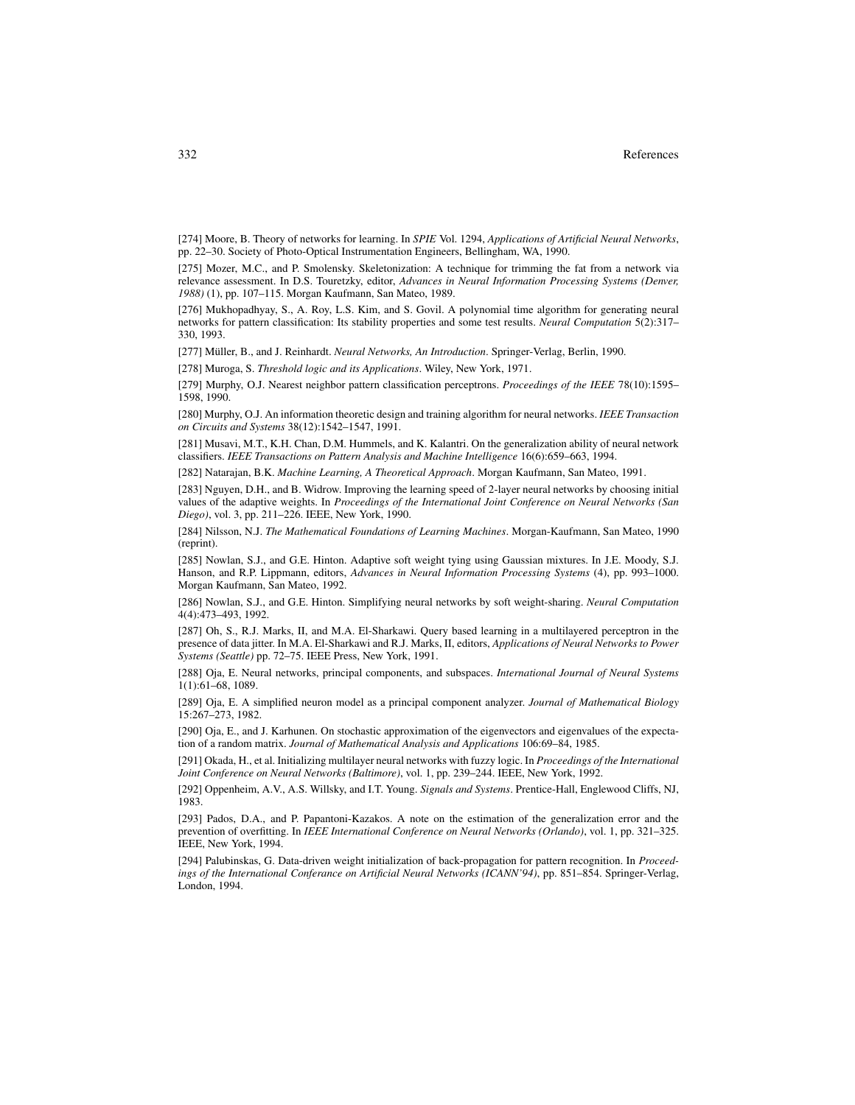[274] Moore, B. Theory of networks for learning. In *SPIE* Vol. 1294, *Applications of Artificial Neural Networks*, pp. 22–30. Society of Photo-Optical Instrumentation Engineers, Bellingham, WA, 1990.

[275] Mozer, M.C., and P. Smolensky. Skeletonization: A technique for trimming the fat from a network via relevance assessment. In D.S. Touretzky, editor, *Advances in Neural Information Processing Systems (Denver, 1988)* (1), pp. 107–115. Morgan Kaufmann, San Mateo, 1989.

[276] Mukhopadhyay, S., A. Roy, L.S. Kim, and S. Govil. A polynomial time algorithm for generating neural networks for pattern classification: Its stability properties and some test results. *Neural Computation* 5(2):317– 330, 1993.

[277] Müller, B., and J. Reinhardt. *Neural Networks, An Introduction*. Springer-Verlag, Berlin, 1990.

[278] Muroga, S. *Threshold logic and its Applications*. Wiley, New York, 1971.

[279] Murphy, O.J. Nearest neighbor pattern classification perceptrons. *Proceedings of the IEEE* 78(10):1595– 1598, 1990.

[280] Murphy, O.J. An information theoretic design and training algorithm for neural networks. *IEEE Transaction on Circuits and Systems* 38(12):1542–1547, 1991.

[281] Musavi, M.T., K.H. Chan, D.M. Hummels, and K. Kalantri. On the generalization ability of neural network classifiers. *IEEE Transactions on Pattern Analysis and Machine Intelligence* 16(6):659–663, 1994.

[282] Natarajan, B.K. *Machine Learning, A Theoretical Approach*. Morgan Kaufmann, San Mateo, 1991.

[283] Nguyen, D.H., and B. Widrow. Improving the learning speed of 2-layer neural networks by choosing initial values of the adaptive weights. In *Proceedings of the International Joint Conference on Neural Networks (San Diego)*, vol. 3, pp. 211–226. IEEE, New York, 1990.

[284] Nilsson, N.J. *The Mathematical Foundations of Learning Machines*. Morgan-Kaufmann, San Mateo, 1990 (reprint).

[285] Nowlan, S.J., and G.E. Hinton. Adaptive soft weight tying using Gaussian mixtures. In J.E. Moody, S.J. Hanson, and R.P. Lippmann, editors, *Advances in Neural Information Processing Systems* (4), pp. 993–1000. Morgan Kaufmann, San Mateo, 1992.

[286] Nowlan, S.J., and G.E. Hinton. Simplifying neural networks by soft weight-sharing. *Neural Computation* 4(4):473–493, 1992.

[287] Oh, S., R.J. Marks, II, and M.A. El-Sharkawi. Query based learning in a multilayered perceptron in the presence of data jitter. In M.A. El-Sharkawi and R.J. Marks, II, editors, *Applications of Neural Networks to Power Systems (Seattle)* pp. 72–75. IEEE Press, New York, 1991.

[288] Oja, E. Neural networks, principal components, and subspaces. *International Journal of Neural Systems* 1(1):61–68, 1089.

[289] Oja, E. A simplified neuron model as a principal component analyzer. *Journal of Mathematical Biology* 15:267–273, 1982.

[290] Oja, E., and J. Karhunen. On stochastic approximation of the eigenvectors and eigenvalues of the expectation of a random matrix. *Journal of Mathematical Analysis and Applications* 106:69–84, 1985.

[291] Okada, H., et al. Initializing multilayer neural networks with fuzzy logic. In *Proceedings of the International Joint Conference on Neural Networks (Baltimore)*, vol. 1, pp. 239–244. IEEE, New York, 1992.

[292] Oppenheim, A.V., A.S. Willsky, and I.T. Young. *Signals and Systems*. Prentice-Hall, Englewood Cliffs, NJ, 1983.

[293] Pados, D.A., and P. Papantoni-Kazakos. A note on the estimation of the generalization error and the prevention of overfitting. In *IEEE International Conference on Neural Networks (Orlando)*, vol. 1, pp. 321–325. IEEE, New York, 1994.

[294] Palubinskas, G. Data-driven weight initialization of back-propagation for pattern recognition. In *Proceedings of the International Conferance on Artificial Neural Networks (ICANN'94)*, pp. 851–854. Springer-Verlag, London, 1994.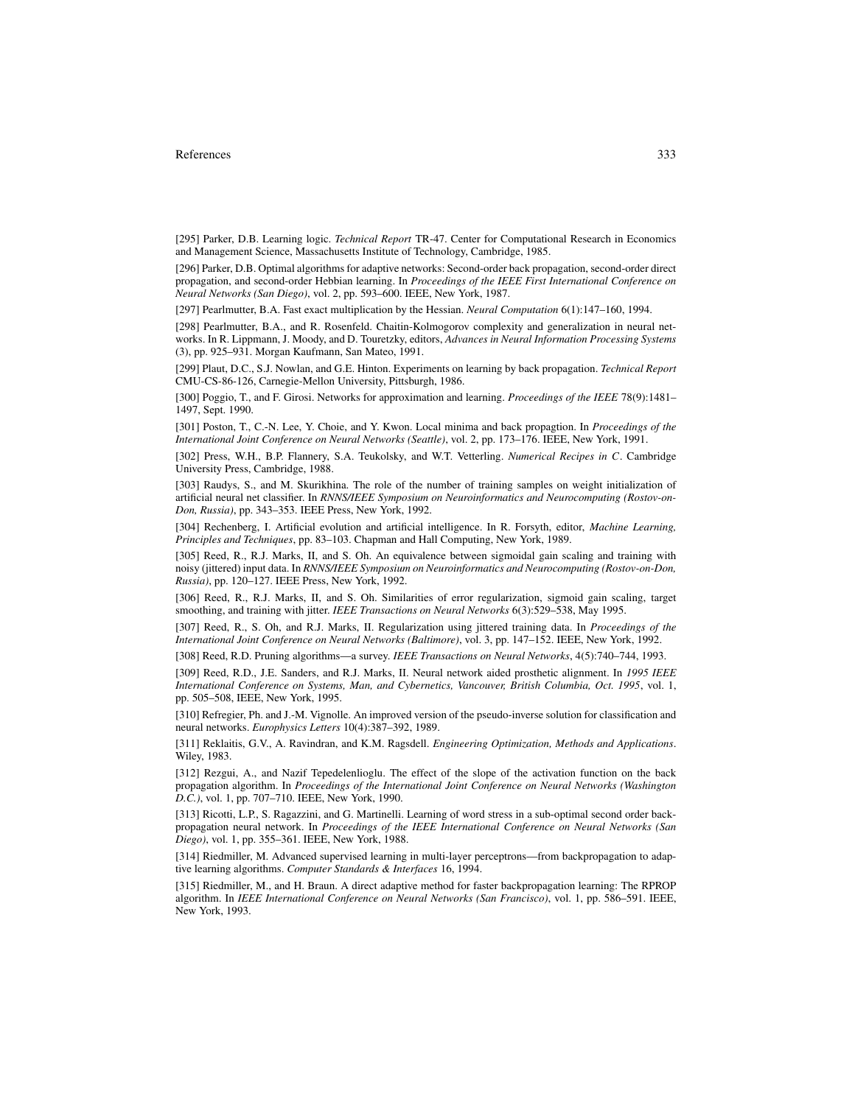[295] Parker, D.B. Learning logic. *Technical Report* TR-47. Center for Computational Research in Economics and Management Science, Massachusetts Institute of Technology, Cambridge, 1985.

[296] Parker, D.B. Optimal algorithms for adaptive networks: Second-order back propagation, second-order direct propagation, and second-order Hebbian learning. In *Proceedings of the IEEE First International Conference on Neural Networks (San Diego)*, vol. 2, pp. 593–600. IEEE, New York, 1987.

[297] Pearlmutter, B.A. Fast exact multiplication by the Hessian. *Neural Computation* 6(1):147–160, 1994.

[298] Pearlmutter, B.A., and R. Rosenfeld. Chaitin-Kolmogorov complexity and generalization in neural networks. In R. Lippmann, J. Moody, and D. Touretzky, editors, *Advances in Neural Information Processing Systems* (3), pp. 925–931. Morgan Kaufmann, San Mateo, 1991.

[299] Plaut, D.C., S.J. Nowlan, and G.E. Hinton. Experiments on learning by back propagation. *Technical Report* CMU-CS-86-126, Carnegie-Mellon University, Pittsburgh, 1986.

[300] Poggio, T., and F. Girosi. Networks for approximation and learning. *Proceedings of the IEEE* 78(9):1481– 1497, Sept. 1990.

[301] Poston, T., C.-N. Lee, Y. Choie, and Y. Kwon. Local minima and back propagtion. In *Proceedings of the International Joint Conference on Neural Networks (Seattle)*, vol. 2, pp. 173–176. IEEE, New York, 1991.

[302] Press, W.H., B.P. Flannery, S.A. Teukolsky, and W.T. Vetterling. *Numerical Recipes in C*. Cambridge University Press, Cambridge, 1988.

[303] Raudys, S., and M. Skurikhina. The role of the number of training samples on weight initialization of artificial neural net classifier. In *RNNS/IEEE Symposium on Neuroinformatics and Neurocomputing (Rostov-on-Don, Russia)*, pp. 343–353. IEEE Press, New York, 1992.

[304] Rechenberg, I. Artificial evolution and artificial intelligence. In R. Forsyth, editor, *Machine Learning, Principles and Techniques*, pp. 83–103. Chapman and Hall Computing, New York, 1989.

[305] Reed, R., R.J. Marks, II, and S. Oh. An equivalence between sigmoidal gain scaling and training with noisy (jittered) input data. In *RNNS/IEEE Symposium on Neuroinformatics and Neurocomputing (Rostov-on-Don, Russia)*, pp. 120–127. IEEE Press, New York, 1992.

[306] Reed, R., R.J. Marks, II, and S. Oh. Similarities of error regularization, sigmoid gain scaling, target smoothing, and training with jitter. *IEEE Transactions on Neural Networks* 6(3):529–538, May 1995.

[307] Reed, R., S. Oh, and R.J. Marks, II. Regularization using jittered training data. In *Proceedings of the International Joint Conference on Neural Networks (Baltimore)*, vol. 3, pp. 147–152. IEEE, New York, 1992.

[308] Reed, R.D. Pruning algorithms—a survey. *IEEE Transactions on Neural Networks*, 4(5):740–744, 1993.

[309] Reed, R.D., J.E. Sanders, and R.J. Marks, II. Neural network aided prosthetic alignment. In *1995 IEEE International Conference on Systems, Man, and Cybernetics, Vancouver, British Columbia, Oct. 1995*, vol. 1, pp. 505–508, IEEE, New York, 1995.

[310] Refregier, Ph. and J.-M. Vignolle. An improved version of the pseudo-inverse solution for classification and neural networks. *Europhysics Letters* 10(4):387–392, 1989.

[311] Reklaitis, G.V., A. Ravindran, and K.M. Ragsdell. *Engineering Optimization, Methods and Applications*. Wiley, 1983.

[312] Rezgui, A., and Nazif Tepedelenlioglu. The effect of the slope of the activation function on the back propagation algorithm. In *Proceedings of the International Joint Conference on Neural Networks (Washington D.C.)*, vol. 1, pp. 707–710. IEEE, New York, 1990.

[313] Ricotti, L.P., S. Ragazzini, and G. Martinelli. Learning of word stress in a sub-optimal second order backpropagation neural network. In *Proceedings of the IEEE International Conference on Neural Networks (San Diego)*, vol. 1, pp. 355–361. IEEE, New York, 1988.

[314] Riedmiller, M. Advanced supervised learning in multi-layer perceptrons—from backpropagation to adaptive learning algorithms. *Computer Standards & Interfaces* 16, 1994.

[315] Riedmiller, M., and H. Braun. A direct adaptive method for faster backpropagation learning: The RPROP algorithm. In *IEEE International Conference on Neural Networks (San Francisco)*, vol. 1, pp. 586–591. IEEE, New York, 1993.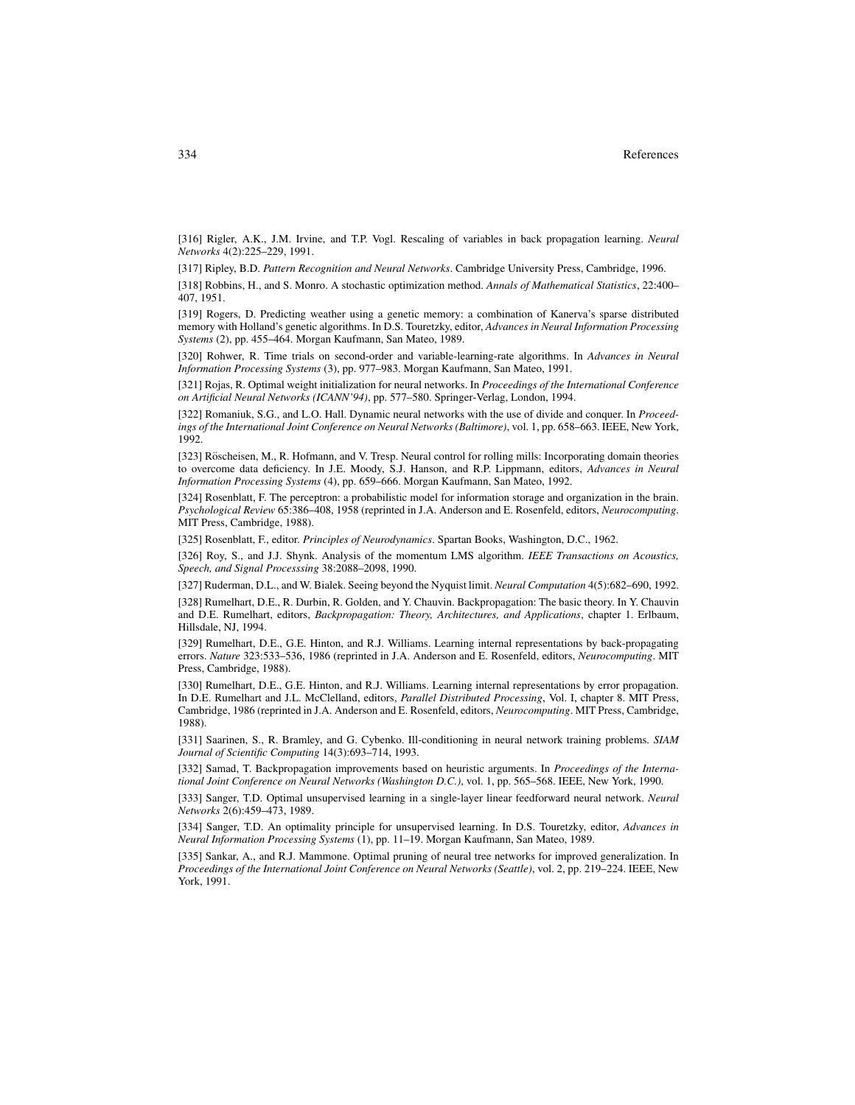[316] Rigler, A.K., J.M. Irvine, and T.P. Vogl. Rescaling of variables in back propagation learning. *Neural Networks* 4(2):225–229, 1991.

[317] Ripley, B.D. *Pattern Recognition and Neural Networks*. Cambridge University Press, Cambridge, 1996.

[318] Robbins, H., and S. Monro. A stochastic optimization method. *Annals of Mathematical Statistics*, 22:400– 407, 1951.

[319] Rogers, D. Predicting weather using a genetic memory: a combination of Kanerva's sparse distributed memory with Holland's genetic algorithms. In D.S. Touretzky, editor, *Advances in Neural Information Processing Systems* (2), pp. 455–464. Morgan Kaufmann, San Mateo, 1989.

[320] Rohwer, R. Time trials on second-order and variable-learning-rate algorithms. In *Advances in Neural Information Processing Systems* (3), pp. 977–983. Morgan Kaufmann, San Mateo, 1991.

[321] Rojas, R. Optimal weight initialization for neural networks. In *Proceedings of the International Conference on Artificial Neural Networks (ICANN'94)*, pp. 577–580. Springer-Verlag, London, 1994.

[322] Romaniuk, S.G., and L.O. Hall. Dynamic neural networks with the use of divide and conquer. In *Proceedings of the International Joint Conference on Neural Networks (Baltimore)*, vol. 1, pp. 658–663. IEEE, New York, 1992.

[323] Röscheisen, M., R. Hofmann, and V. Tresp. Neural control for rolling mills: Incorporating domain theories to overcome data deficiency. In J.E. Moody, S.J. Hanson, and R.P. Lippmann, editors, *Advances in Neural Information Processing Systems* (4), pp. 659–666. Morgan Kaufmann, San Mateo, 1992.

[324] Rosenblatt, F. The perceptron: a probabilistic model for information storage and organization in the brain. *Psychological Review* 65:386–408, 1958 (reprinted in J.A. Anderson and E. Rosenfeld, editors, *Neurocomputing*. MIT Press, Cambridge, 1988).

[325] Rosenblatt, F., editor. *Principles of Neurodynamics*. Spartan Books, Washington, D.C., 1962.

[326] Roy, S., and J.J. Shynk. Analysis of the momentum LMS algorithm. *IEEE Transactions on Acoustics, Speech, and Signal Processsing* 38:2088–2098, 1990.

[327] Ruderman, D.L., and W. Bialek. Seeing beyond the Nyquist limit. *Neural Computation* 4(5):682–690, 1992.

[328] Rumelhart, D.E., R. Durbin, R. Golden, and Y. Chauvin. Backpropagation: The basic theory. In Y. Chauvin and D.E. Rumelhart, editors, *Backpropagation: Theory, Architectures, and Applications*, chapter 1. Erlbaum, Hillsdale, NJ, 1994.

[329] Rumelhart, D.E., G.E. Hinton, and R.J. Williams. Learning internal representations by back-propagating errors. *Nature* 323:533–536, 1986 (reprinted in J.A. Anderson and E. Rosenfeld, editors, *Neurocomputing*. MIT Press, Cambridge, 1988).

[330] Rumelhart, D.E., G.E. Hinton, and R.J. Williams. Learning internal representations by error propagation. In D.E. Rumelhart and J.L. McClelland, editors, *Parallel Distributed Processing*, Vol. I, chapter 8. MIT Press, Cambridge, 1986 (reprinted in J.A. Anderson and E. Rosenfeld, editors, *Neurocomputing*. MIT Press, Cambridge, 1988).

[331] Saarinen, S., R. Bramley, and G. Cybenko. Ill-conditioning in neural network training problems. *SIAM Journal of Scientific Computing* 14(3):693–714, 1993.

[332] Samad, T. Backpropagation improvements based on heuristic arguments. In *Proceedings of the International Joint Conference on Neural Networks (Washington D.C.)*, vol. 1, pp. 565–568. IEEE, New York, 1990.

[333] Sanger, T.D. Optimal unsupervised learning in a single-layer linear feedforward neural network. *Neural Networks* 2(6):459–473, 1989.

[334] Sanger, T.D. An optimality principle for unsupervised learning. In D.S. Touretzky, editor, *Advances in Neural Information Processing Systems* (1), pp. 11–19. Morgan Kaufmann, San Mateo, 1989.

[335] Sankar, A., and R.J. Mammone. Optimal pruning of neural tree networks for improved generalization. In *Proceedings of the International Joint Conference on Neural Networks (Seattle)*, vol. 2, pp. 219–224. IEEE, New York, 1991.